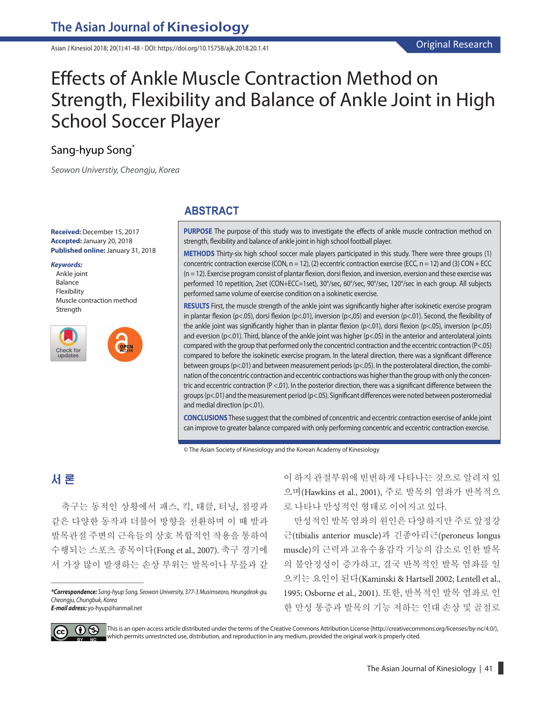Asian J Kinesiol 2018; 20(1):41-48 **·** DOI: https://doi.org/10.15758/ajk.2018.20.1.41

# Effects of Ankle Muscle Contraction Method on Strength, Flexibility and Balance of Ankle Joint in High School Soccer Player

# Sang-hyup Song\*

*Seowon Universtiy, Cheongju, Korea*

**Received:** December 15, 2017 **Accepted:**January 20, 2018 **Published online:**January 31, 2018

#### *Keywords:*

Ankle joint Balance Flexibility Muscle contraction method Strength



## **ABSTRACT**

**PURPOSE** The purpose of this study was to investigate the effects of ankle muscle contraction method on strength, flexibility and balance of ankle joint in high school football player.

**METHODS** Thirty-six high school soccer male players participated in this study. There were three groups (1) concentric contraction exercise (CON, n = 12), (2) eccentric contraction exercise (ECC, n = 12) and (3) CON + ECC (n = 12). Exercise program consist of plantar flexion, dorsi flexion, and inversion, eversion and these exercise was performed 10 repetition, 2set (CON+ECC=1set), 30°/sec, 60°/sec, 90°/sec, 120°/sec in each group. All subjects performed same volume of exercise condition on a isokinetic exercise.

**RESULTS** First, the muscle strength of the ankle joint was significantly higher after isokinetic exercise program in plantar flexion (p<.05), dorsi flexion (p<.01), inversion (p<,05) and eversion (p<.01). Second, the flexibility of the ankle joint was significantly higher than in plantar flexion (p<.01), dorsi flexion (p<.05), inversion (p<,05) and eversion (p<.01). Third, blance of the ankle joint was higher (p<.05) in the anterior and anterolateral joints compared with the group that performed only the concentricl contraction and the eccentric contraction (P<.05) compared to before the isokinetic exercise program. In the lateral direction, there was a significant difference between groups (p<.01) and between measurement periods (p<.05). In the posterolateral direction, the combination of the concentric contraction and eccentric contractions was higher than the group with only the concentric and eccentric contraction (P <.01). In the posterior direction, there was a significant difference between the groups (p<.01) and the measurement period (p<.05). Significant differences were noted between posteromedial and medial direction (p<.01).

**CONCLUSIONS**These suggest that the combined of concentric and eccentric contraction exercise of ankle joint can improve to greater balance compared with only performing concentric and eccentric contraction exercise.

© The Asian Society of Kinesiology and the Korean Academy of Kinesiology

# 서 론

축구는 동적인 상황에서 패스, 킥, 태클, 터닝, 점핑과 같은 다양한 동작과 더불어 방향을 전환하며 이 때 발과 발목관절 주변의 근육들의 상호 복합적인 작용을 통하여 수행되는 스포츠 종목이다(Fong et al., 2007). 축구 경기에 서 가장 많이 발생하는 손상 부위는 발목이나 무릎과 같

*E-mail adress:* yo-hyup@hanmail.net

이 하지 관절부위에 빈번하게 나타나는 것으로 알려져 있 으며(Hawkins et al., 2001), 주로 발목의 염좌가 반복적으 로 나타나 만성적인 형태로 이어지고 있다.

만성적인 발목 염좌의 원인은 다양하지만 주로 앞정강 근(tibialis anterior muscle)과 긴종아리근(peroneus longus muscle)의 근력과 고유수용감각 기능의 감소로 인한 발목 의 불안정성이 증가하고, 결국 반복적인 발목 염좌를 일 으키는 요인이 된다(Kaminski & Hartsell 2002; Lentell et al., 1995; Osborne et al., 2001). 또한, 반복적인 발목 염좌로 인 한 만성 통증과 발목의 기능 저하는 인대 손상 및 골절로



This is an open-access article distributed under the terms of the Creative Commons Attribution License (http://creativecommons.org/licenses/by-nc/4.0/), which permits unrestricted use, distribution, and reproduction in any medium, provided the original work is properly cited.

*<sup>\*</sup>Correspondence: Sang-hyup Song, Seowon University, 377-3 Musimseoro, Heungdeok-gu, Cheongju, Chungbuk, Korea*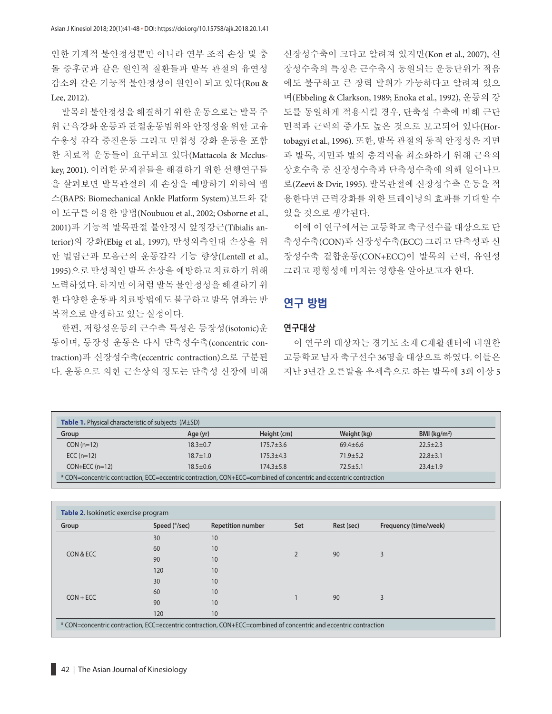인한 기계적 불안정성뿐만 아니라 연부 조직 손상 및 충 돌 증후군과 같은 원인적 질환들과 발목 관절의 유연성 감소와 같은 기능적 불안정성이 원인이 되고 있다(Rou & Lee, 2012).

발목의 불안정성을 해결하기 위한 운동으로는 발목 주 위 근육강화 운동과 관절운동범위와 안정성을 위한 고유 수용성 감각 증진운동 그리고 민첩성 강화 운동을 포함 한 치료적 운동들이 요구되고 있다(Mattacola & Mccluskey, 2001). 이러한 문제점들을 해결하기 위한 선행연구들 을 살펴보면 발목관절의 재 손상을 예방하기 위하여 뱁 스(BAPS: Biomechanical Ankle Platform System)보드와 같 이 도구를 이용한 방법(Noubuou et al., 2002; Osborne et al., 2001)과 기능적 발목관절 불안정시 앞정강근(Tibialis anterior)의 강화(Ebig et al., 1997), 만성외측인대 손상을 위 한 벌림근과 모음근의 운동감각 기능 향상(Lentell et al., 1995)으로 만성적인 발목 손상을 예방하고 치료하기 위해 노력하였다. 하지만 이처럼 발목 불안정성을 해결하기 위 한 다양한 운동과 치료방법에도 불구하고 발목 염좌는 반 복적으로 발생하고 있는 실정이다.

한편, 저항성운동의 근수축 특성은 등장성(isotonic)운 동이며, 등장성 운동은 다시 단축성수축(concentric contraction)과 신장성수축(eccentric contraction)으로 구분된 다. 운동으로 의한 근손상의 정도는 단축성 신장에 비해 신장성수축이 크다고 알려져 있지만(Kon et al., 2007), 신 장성수축의 특징은 근수축시 동원되는 운동단위가 적음 에도 불구하고 큰 장력 발휘가 가능하다고 알려져 있으 며(Ebbeling & Clarkson, 1989; Enoka et al., 1992), 운동의 강 도를 동일하게 적용시킬 경우, 단축성 수축에 비해 근단 면적과 근력의 증가도 높은 것으로 보고되어 있다(Hortobagyi et al., 1996). 또한, 발목 관절의 동적 안정성은 지면 과 발목, 지면과 발의 충격력을 최소화하기 위해 근육의 상호수축 중 신장성수축과 단축성수축에 의해 일어나므 로(Zeevi & Dvir, 1995). 발목관절에 신장성수축 운동을 적 용한다면 근력강화를 위한 트레이닝의 효과를 기대할 수 있을 것으로 생각된다.

이에 이 연구에서는 고등학교 축구선수를 대상으로 단 축성수축(CON)과 신장성수축(ECC) 그리고 단축성과 신 장성수축 결합운동(CON+ECC)이 발목의 근력, 유연성 그리고 평형성에 미치는 영향을 알아보고자 한다.

# 연구 방법

#### **연구대상**

이 연구의 대상자는 경기도 소재 C재활센터에 내원한 고등학교 남자 축구선수 36명을 대상으로 하였다. 이들은 지난 3년간 오른발을 우세측으로 하는 발목에 3회 이상 5

| <b>Table 1.</b> Physical characteristic of subjects (M±SD)                                                        |                |               |              |                 |  |  |
|-------------------------------------------------------------------------------------------------------------------|----------------|---------------|--------------|-----------------|--|--|
| Group                                                                                                             | Age (yr)       | Height (cm)   | Weight (kg)  | BMI ( $kg/m2$ ) |  |  |
| $CON(n=12)$                                                                                                       | $18.3 + 0.7$   | $175.7 + 3.6$ | $69.4 + 6.6$ | $22.5 + 2.3$    |  |  |
| ECC $(n=12)$                                                                                                      | $18.7 \pm 1.0$ | $175.3 + 4.3$ | $71.9 + 5.2$ | $22.8 + 3.1$    |  |  |
| $CON+ECC(n=12)$                                                                                                   | $18.5 \pm 0.6$ | $174.3 + 5.8$ | $72.5 + 5.1$ | $23.4 + 1.9$    |  |  |
| * CON=concentric contraction, ECC=eccentric contraction, CON+ECC=combined of concentric and eccentric contraction |                |               |              |                 |  |  |

| Group       | Speed (°/sec) | <b>Repetition number</b> | Set            | Rest (sec) | Frequency (time/week) |  |
|-------------|---------------|--------------------------|----------------|------------|-----------------------|--|
|             | 30            | 10                       |                | 90         |                       |  |
|             | 60            | 10                       |                |            | 3                     |  |
| CON & ECC   | 90            | 10                       | $\overline{2}$ |            |                       |  |
|             | 120           | 10                       |                |            |                       |  |
| $CON + ECC$ | 30            | 10                       |                |            |                       |  |
|             | 60            | 10                       |                | 90         | 3                     |  |
|             | 90            | 10                       |                |            |                       |  |
|             | 120           | 10                       |                |            |                       |  |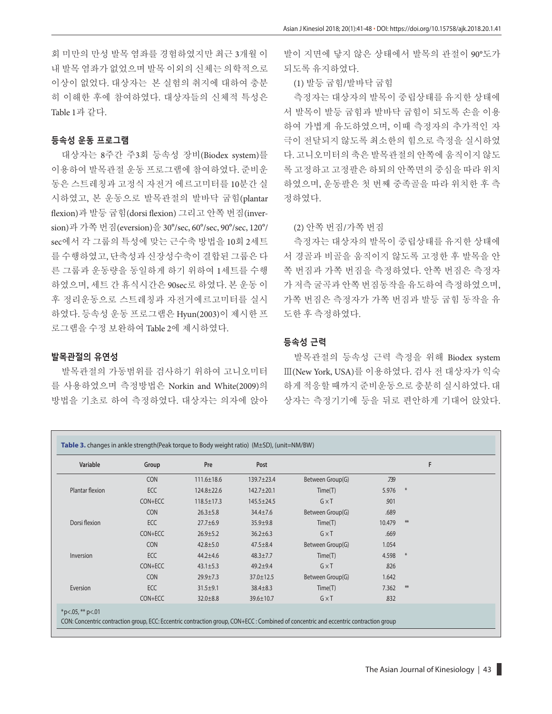회 미만의 만성 발목 염좌를 경험하였지만 최근 3개월 이 내 발목 염좌가 없었으며 발목 이외의 신체는 의학적으로 이상이 없었다. 대상자는 본 실험의 취지에 대하여 충분 히 이해한 후에 참여하였다. 대상자들의 신체적 특성은 Table 1과 같다.

#### **등속성 운동 프로그램**

대상자는 8주간 주3회 등속성 장비(Biodex system)를 이용하여 발목관절 운동 프로그램에 참여하였다. 준비운 동은 스트레칭과 고정식 자전거 에르고미터를 10분간 실 시하였고, 본 운동으로 발목관절의 발바닥 굽힘(plantar flexion)과 발등 굽힘(dorsi flexion) 그리고 안쪽 번짐(inversion)과 가쪽 번짐(eversion)을 30°/sec, 60°/sec, 90°/sec, 120°/ sec에서 각 그룹의 특성에 맞는 근수축 방법을 10회 2세트 를 수행하였고, 단축성과 신장성수축이 결합된 그룹은 다 른 그룹과 운동량을 동일하게 하기 위하여 1세트를 수행 하였으며, 세트 간 휴식시간은 90sec로 하였다. 본 운동 이 후 정리운동으로 스트레칭과 자전거에르고미터를 실시 하였다. 등속성 운동 프로그램은 Hyun(2003)이 제시한 프 로그램을 수정 보완하여 Table 2에 제시하였다.

## **발목관절의 유연성**

발목관절의 가동범위를 검사하기 위하여 고니오미터 를 사용하였으며 측정방법은 Norkin and White(2009)의 방법을 기초로 하여 측정하였다. 대상자는 의자에 앉아 발이 지면에 닿지 않은 상태에서 발목의 관절이 90°도가 되도록 유지하였다.

#### (1) 발등 굽힘/발바닥 굽힘

측정자는 대상자의 발목이 중립상태를 유지한 상태에 서 발목이 발등 굽힘과 발바닥 굽힘이 되도록 손을 이용 하여 가볍게 유도하였으며, 이때 측정자의 추가적인 자 극이 전달되지 않도록 최소한의 힘으로 측정을 실시하였 다. 고니오미터의 축은 발목관절의 안쪽에 움직이지 않도 록 고정하고 고정팔은 하퇴의 안쪽면의 중심을 따라 위치 하였으며, 운동팔은 첫 번째 중족골을 따라 위치한 후 측 정하였다.

#### (2) 안쪽 번짐/가쪽 번짐

측정자는 대상자의 발목이 중립상태를 유지한 상태에 서 경골과 비골을 움직이지 않도록 고정한 후 발목을 안 쪽 번짐과 가쪽 번짐을 측정하였다. 안쪽 번짐은 측정자 가 저측 굴곡과 안쪽 번짐동작을 유도하여 측정하였으며, 가쪽 번짐은 측정자가 가쪽 번짐과 발등 굽힘 동작을 유 도한 후 측정하였다.

#### **등속성 근력**

발목관절의 등속성 근력 측정을 위해 Biodex system Ⅲ(New York, USA)를 이용하였다. 검사 전 대상자가 익숙 하게 적응할 때까지 준비운동으로 충분히 실시하였다. 대 상자는 측정기기에 등을 뒤로 편안하게 기대어 앉았다.

| Variable        | Group      | Pre              | Post             |                  |        | F   |
|-----------------|------------|------------------|------------------|------------------|--------|-----|
|                 | <b>CON</b> | $111.6 \pm 18.6$ | $139.7 + 23.4$   | Between Group(G) | .739   |     |
| Plantar flexion | ECC        | $124.8 \pm 22.6$ | $142.7 + 20.1$   | Time(T)          | 5.976  | $*$ |
|                 | CON+ECC    | $118.5 \pm 17.3$ | $145.5 \pm 24.5$ | $G \times T$     | 901    |     |
|                 | <b>CON</b> | $26.3 \pm 5.8$   | $34.4 \pm 7.6$   | Between Group(G) | .689   |     |
| Dorsi flexion   | ECC        | $27.7 \pm 6.9$   | $35.9 + 9.8$     | Time(T)          | 10.479 | 米   |
|                 | CON+ECC    | $26.9 \pm 5.2$   | $36.2 \pm 6.3$   | $G \times T$     | .669   |     |
|                 | <b>CON</b> | $42.8 \pm 5.0$   | $47.5 \pm 8.4$   | Between Group(G) | 1.054  |     |
| Inversion       | ECC        | $44.2 \pm 4.6$   | $48.3 \pm 7.7$   | Time(T)          | 4.598  | $*$ |
|                 | CON+ECC    | $43.1 \pm 5.3$   | $49.2 + 9.4$     | $G \times T$     | 826    |     |
|                 | <b>CON</b> | $29.9 \pm 7.3$   | $37.0 \pm 12.5$  | Between Group(G) | 1.642  |     |
| Eversion        | ECC        | $31.5 \pm 9.1$   | $38.4 \pm 8.3$   | Time(T)          | 7.362  | 米   |
|                 | CON+ECC    | $32.0 \pm 8.8$   | 39.6±10.7        | $G \times T$     | 832    |     |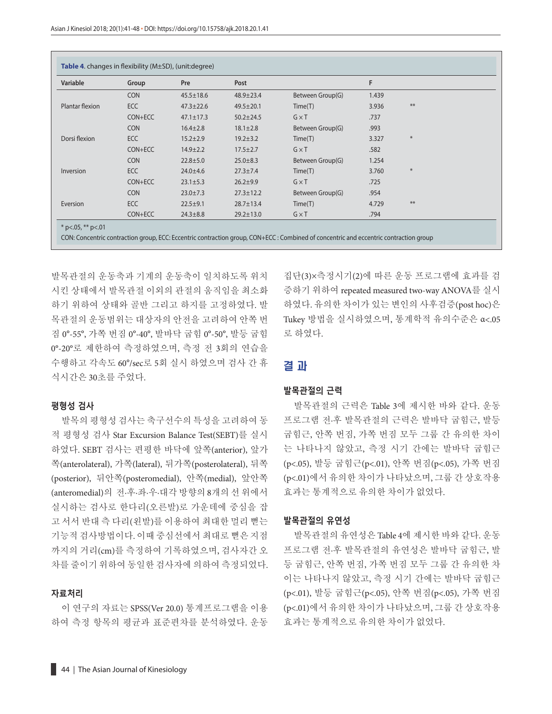| Variable        | Group      | Pre             | Post            |                  | F     |        |
|-----------------|------------|-----------------|-----------------|------------------|-------|--------|
|                 | <b>CON</b> | $45.5 \pm 18.6$ | 48.9±23.4       | Between Group(G) | 1.439 |        |
| Plantar flexion | ECC        | $47.3 \pm 22.6$ | $49.5 \pm 20.1$ | Time(T)          | 3.936 | **     |
|                 | CON+ECC    | $47.1 \pm 17.3$ | $50.2 \pm 24.5$ | $G \times T$     | .737  |        |
|                 | <b>CON</b> | $16.4 \pm 2.8$  | $18.1 \pm 2.8$  | Between Group(G) | .993  |        |
| Dorsi flexion   | ECC        | $15.2 \pm 2.9$  | $19.2 \pm 3.2$  | Time(T)          | 3.327 | $\ast$ |
|                 | CON+ECC    | $14.9 \pm 2.2$  | $17.5 \pm 2.7$  | $G \times T$     | .582  |        |
|                 | <b>CON</b> | $22.8 + 5.0$    | $25.0 \pm 8.3$  | Between Group(G) | 1.254 |        |
| Inversion       | <b>ECC</b> | $24.0 \pm 4.6$  | $27.3 \pm 7.4$  | Time(T)          | 3.760 | $\ast$ |
|                 | CON+ECC    | $23.1 \pm 5.3$  | $26.2 + 9.9$    | $G \times T$     | .725  |        |
|                 | <b>CON</b> | $23.0 \pm 7.3$  | $27.3 \pm 12.2$ | Between Group(G) | .954  |        |
| Eversion        | <b>ECC</b> | $22.5 \pm 9.1$  | $28.7 \pm 13.4$ | Time(T)          | 4.729 | $**$   |
|                 | CON+ECC    | $24.3 \pm 8.8$  | $29.2 \pm 13.0$ | $G \times T$     | .794  |        |

발목관절의 운동축과 기계의 운동축이 일치하도록 위치 시킨 상태에서 발목관절 이외의 관절의 움직임을 최소화 하기 위하여 상태와 골반 그리고 하지를 고정하였다. 발 목관절의 운동범위는 대상자의 안전을 고려하여 안쪽 번 짐 0°-55°, 가쪽 번짐 0°-40°, 발바닥 굽힘 0°-50°, 발등 굽힘 0°-20°로 제한하여 측정하였으며, 측정 전 3회의 연습을 수행하고 각속도 60°/sec로 5회 실시 하였으며 검사 간 휴 식시간은 30초를 주었다.

#### **평형성 검사**

발목의 평형성 검사는 축구선수의 특성을 고려하여 동 적 평형성 검사 Star Excursion Balance Test(SEBT)를 실시 하였다. SEBT 검사는 편평한 바닥에 앞쪽(anterior), 앞가 쪽(anterolateral), 가쪽(lateral), 뒤가쪽(posterolateral), 뒤쪽 (posterior), 뒤안쪽(posteromedial), 안쪽(medial), 앞안쪽 (anteromedial)의 전·후·좌·우·대각 방향의 8개의 선 위에서 실시하는 검사로 한다리(오른발)로 가운데에 중심을 잡 고 서서 반대 측 다리(왼발)를 이용하여 최대한 멀리 뻗는 기능적 검사방법이다. 이때 중심선에서 최대로 뻗은 지점 까지의 거리(cm)를 측정하여 기록하였으며, 검사자간 오 차를 줄이기 위하여 동일한 검사자에 의하여 측정되었다.

#### **자료처리**

이 연구의 자료는 SPSS(Ver 20.0) 통계프로그램을 이용 하여 측정 항목의 평균과 표준편차를 분석하였다. 운동 집단(3)×측정시기(2)에 따른 운동 프로그램에 효과를 검 증하기 위하여 repeated measured two-way ANOVA를 실시 하였다. 유의한 차이가 있는 변인의 사후검증(post hoc)은 Tukey 방법을 실시하였으며, 통계학적 유의수준은 α<.05 로 하였다.

## 결 과

#### **발목관절의 근력**

발목관절의 근력은 Table 3에 제시한 바와 같다. 운동 프로그램 전·후 발목관절의 근력은 발바닥 굽힘근, 발등 굽힘근, 안쪽 번짐, 가쪽 번짐 모두 그룹 간 유의한 차이 는 나타나지 않았고, 측정 시기 간에는 발바닥 굽힘근 (p<.05), 발등 굽힘근(p<.01), 안쪽 번짐(p<.05), 가쪽 번짐 (p<.01)에서 유의한 차이가 나타났으며, 그룹 간 상호작용 효과는 통계적으로 유의한 차이가 없었다.

#### **발목관절의 유연성**

발목관절의 유연성은 Table 4에 제시한 바와 같다. 운동 프로그램 전·후 발목관절의 유연성은 발바닥 굽힘근, 발 등 굽힘근, 안쪽 번짐, 가쪽 번짐 모두 그룹 간 유의한 차 이는 나타나지 않았고, 측정 시기 간에는 발바닥 굽힘근 (p<.01), 발등 굽힘근(p<.05), 안쪽 번짐(p<.05), 가쪽 번짐 (p<.01)에서 유의한 차이가 나타났으며, 그룹 간 상호작용 효과는 통계적으로 유의한 차이가 없었다.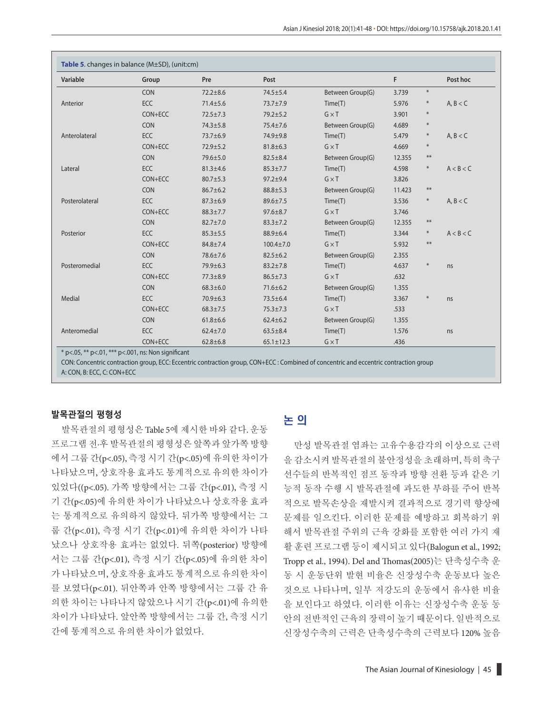| Variable       | Group      | Pre            | Post            |                  | F      |        | Post hoc  |
|----------------|------------|----------------|-----------------|------------------|--------|--------|-----------|
|                | <b>CON</b> | $72.2 + 8.6$   | $74.5 \pm 5.4$  | Between Group(G) | 3.739  | $\ast$ |           |
| Anterior       | ECC        | $71.4 \pm 5.6$ | $73.7 \pm 7.9$  | Time(T)          | 5.976  | $\ast$ | A, B < C  |
|                | CON+ECC    | $72.5 \pm 7.3$ | $79.2 + 5.2$    | $G \times T$     | 3.901  | $\ast$ |           |
|                | CON        | $74.3 \pm 5.8$ | $75.4 \pm 7.6$  | Between Group(G) | 4.689  | $\ast$ |           |
| Anterolateral  | <b>ECC</b> | 73.7±6.9       | 74.9±9.8        | Time(T)          | 5.479  | $\ast$ | A, B < C  |
|                | CON+ECC    | $72.9 + 5.2$   | $81.8 \pm 6.3$  | $G \times T$     | 4.669  | $\ast$ |           |
|                | CON        | $79.6 \pm 5.0$ | $82.5 \pm 8.4$  | Between Group(G) | 12.355 | $***$  |           |
| Lateral        | <b>ECC</b> | $81.3 \pm 4.6$ | $85.3 \pm 7.7$  | Time(T)          | 4.598  | $\ast$ | A < B < C |
|                | CON+ECC    | $80.7 \pm 5.3$ | $97.2 + 9.4$    | $G \times T$     | 3.826  |        |           |
|                | <b>CON</b> | $86.7 \pm 6.2$ | $88.8 \pm 5.3$  | Between Group(G) | 11.423 | $***$  |           |
| Posterolateral | ECC        | $87.3 \pm 6.9$ | $89.6 \pm 7.5$  | Time(T)          | 3.536  | $\ast$ | A, B < C  |
|                | CON+ECC    | $88.3 \pm 7.7$ | $97.6 \pm 8.7$  | $G \times T$     | 3.746  |        |           |
|                | <b>CON</b> | $82.7 \pm 7.0$ | $83.3 \pm 7.2$  | Between Group(G) | 12.355 | $***$  |           |
| Posterior      | <b>ECC</b> | $85.3 \pm 5.5$ | 88.9±6.4        | Time(T)          | 3.344  | $\ast$ | A < B < C |
|                | CON+ECC    | $84.8 \pm 7.4$ | $100.4 \pm 7.0$ | $G \times T$     | 5.932  | $***$  |           |
|                | <b>CON</b> | 78.6±7.6       | $82.5 \pm 6.2$  | Between Group(G) | 2.355  |        |           |
| Posteromedial  | <b>ECC</b> | 79.9±6.3       | $83.2 \pm 7.8$  | Time(T)          | 4.637  | $\ast$ | ns        |
|                | CON+ECC    | $77.3 \pm 8.9$ | $86.5 \pm 7.3$  | $G \times T$     | .632   |        |           |
|                | <b>CON</b> | $68.3 \pm 6.0$ | $71.6 \pm 6.2$  | Between Group(G) | 1.355  |        |           |
| Medial         | ECC        | $70.9 \pm 6.3$ | $73.5 \pm 6.4$  | Time(T)          | 3.367  | $\ast$ | ns        |
|                | CON+ECC    | $68.3 \pm 7.5$ | $75.3 \pm 7.3$  | $G \times T$     | .533   |        |           |
|                | <b>CON</b> | $61.8 + 6.6$   | $62.4 \pm 6.2$  | Between Group(G) | 1.355  |        |           |
| Anteromedial   | ECC        | $62.4 \pm 7.0$ | $63.5 \pm 8.4$  | Time(T)          | 1.576  |        | ns        |
|                | CON+ECC    | $62.8 \pm 6.8$ | $65.1 \pm 12.3$ | $G \times T$     | .436   |        |           |

CON: Concentric contraction group, ECC: Eccentric contraction group, CON+ECC : Combined of concentric and eccentric contraction group

A: CON, B: ECC, C: CON+ECC

#### **발목관절의 평형성**

발목관절의 평형성은 Table 5에 제시한 바와 같다. 운동 프로그램 전·후 발목관절의 평형성은 앞쪽과 앞가쪽 방향 에서 그룹 간(p<.05), 측정 시기 간(p<.05)에 유의한 차이가 나타났으며, 상호작용 효과도 통계적으로 유의한 차이가 있었다((p<.05). 가쪽 방향에서는 그룹 간(p<.01), 측정 시 기 간(p<.05)에 유의한 차이가 나타났으나 상호작용 효과 는 통계적으로 유의하지 않았다. 뒤가쪽 방향에서는 그 룹 간(p<.01), 측정 시기 간(p<.01)에 유의한 차이가 나타 났으나 상호작용 효과는 없었다. 뒤쪽(posterior) 방향에 서는 그룹 간(p<.01), 측정 시기 간(p<.05)에 유의한 차이 가 나타났으며, 상호작용 효과도 통계적으로 유의한 차이 를 보였다(p<.01). 뒤안쪽과 안쪽 방향에서는 그룹 간 유 의한 차이는 나타나지 않았으나 시기 간(p<.01)에 유의한 차이가 나타났다. 앞안쪽 방향에서는 그룹 간, 측정 시기 간에 통계적으로 유의한 차이가 없었다.

# 논 의

만성 발목관절 염좌는 고유수용감각의 이상으로 근력 을 감소시켜 발목관절의 불안정성을 초래하며, 특히 축구 선수들의 반복적인 점프 동작과 방향 전환 등과 같은 기 능적 동작 수행 시 발목관절에 과도한 부하를 주어 반복 적으로 발목손상을 재발시켜 결과적으로 경기력 향상에 문제를 일으킨다. 이러한 문제를 예방하고 회복하기 위 해서 발목관절 주위의 근육 강화를 포함한 여러 가지 재 활 훈련 프로그램 등이 제시되고 있다(Balogun et al., 1992; Tropp et al., 1994). Del and Thomas(2005)는 단축성수축 운 동 시 운동단위 발현 비율은 신장성수축 운동보다 높은 것으로 나타나며, 일부 저강도의 운동에서 유사한 비율 을 보인다고 하였다. 이러한 이유는 신장성수축 운동 동 안의 전반적인 근육의 장력이 높기 때문이다. 일반적으로 신장성수축의 근력은 단축성수축의 근력보다 120% 높음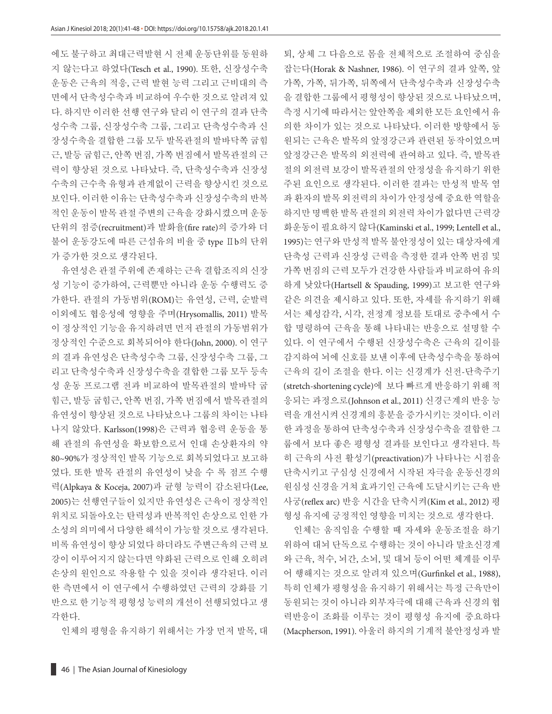에도 불구하고 최대근력발현 시 전체 운동단위를 동원하 지 않는다고 하였다(Tesch et al., 1990). 또한, 신장성수축 운동은 근육의 적응, 근력 발현 능력 그리고 근비대의 측 면에서 단축성수축과 비교하여 우수한 것으로 알려져 있 다. 하지만 이러한 선행 연구와 달리 이 연구의 결과 단축 성수축 그룹, 신장성수축 그룹, 그리고 단축성수축과 신 장성수축을 결합한 그룹 모두 발목관절의 발바닥쪽 굽힘 근, 발등 굽힘근, 안쪽 번짐, 가쪽 번짐에서 발목관절의 근 력이 향상된 것으로 나타났다. 즉, 단축성수축과 신장성 수축의 근수축 유형과 관계없이 근력을 향상시킨 것으로 보인다. 이러한 이유는 단축성수축과 신장성수축의 반복 적인 운동이 발목 관절 주변의 근육을 강화시켰으며 운동 단위의 점증(recruitment)과 발화율(fire rate)의 증가와 더 불어 운동강도에 따른 근섬유의 비율 중 type Ⅱb의 단위 가 증가한 것으로 생각된다.

유연성은 관절 주위에 존재하는 근육 결합조직의 신장 성 기능이 증가하여, 근력뿐만 아니라 운동 수행력도 증 가한다. 관절의 가동범위(ROM)는 유연성, 근력, 순발력 이외에도 협응성에 영향을 주며(Hrysomallis, 2011) 발목 이 정상적인 기능을 유지하려면 먼저 관절의 가동범위가 정상적인 수준으로 회복되어야 한다(John, 2000). 이 연구 의 결과 유연성은 단축성수축 그룹, 신장성수축 그룹, 그 리고 단축성수축과 신장성수축을 결합한 그룹 모두 등속 성 운동 프로그램 전과 비교하여 발목관절의 발바닥 굽 힘근, 발등 굽힘근, 안쪽 번짐, 가쪽 번짐에서 발목관절의 유연성이 향상된 것으로 나타났으나 그룹의 차이는 나타 나지 않았다. Karlsson(1998)은 근력과 협응력 운동을 통 해 관절의 유연성을 확보함으로서 인대 손상환자의 약 80~90%가 정상적인 발목 기능으로 회복되었다고 보고하 였다. 또한 발목 관절의 유연성이 낮을 수 록 점프 수행 력(Alpkaya & Koceja, 2007)과 균형 능력이 감소된다(Lee, 2005)는 선행연구들이 있지만 유연성은 근육이 정상적인 위치로 되돌아오는 탄력성과 반복적인 손상으로 인한 가 소성의 의미에서 다양한 해석이 가능할 것으로 생각된다. 비록 유연성이 향상 되었다 하더라도 주변근육의 근력 보 강이 이루어지지 않는다면 약화된 근력으로 인해 오히려 손상의 원인으로 작용할 수 있을 것이라 생각된다. 이러 한 측면에서 이 연구에서 수행하였던 근력의 강화를 기 반으로 한 기능적 평형성 능력의 개선이 선행되었다고 생 각한다.

인체의 평형을 유지하기 위해서는 가장 먼저 발목, 대

잡는다(Horak & Nashner, 1986). 이 연구의 결과 앞쪽, 앞 가쪽, 가쪽, 뒤가쪽, 뒤쪽에서 단축성수축과 신장성수축 을 결합한 그룹에서 평형성이 향상된 것으로 나타났으며, 측정 시기에 따라서는 앞안쪽을 제외한 모든 요인에서 유 의한 차이가 있는 것으로 나타났다. 이러한 방향에서 동 원되는 근육은 발목의 앞정강근과 관련된 동작이었으며 앞정강근은 발목의 외전력에 관여하고 있다. 즉, 발목관 절의 외전력 보강이 발목관절의 안정성을 유지하기 위한 주된 요인으로 생각된다. 이러한 결과는 만성적 발목 염 좌 환자의 발목 외전력의 차이가 안정성에 중요한 역할을 하지만 명백한 발목 관절의 외전력 차이가 없다면 근력강 화운동이 필요하지 않다(Kaminski et al., 1999; Lentell et al., 1995)는 연구와 만성적 발목 불안정성이 있는 대상자에게 단축성 근력과 신장성 근력을 측정한 결과 안쪽 번짐 및 가쪽 번짐의 근력 모두가 건강한 사람들과 비교하여 유의 하게 낮았다(Hartsell & Spauding, 1999)고 보고한 연구와 같은 의견을 제시하고 있다. 또한, 자세를 유지하기 위해 서는 체성감각, 시각, 전정계 정보를 토대로 중추에서 수 합 명령하여 근육을 통해 나타내는 반응으로 설명할 수 있다. 이 연구에서 수행된 신장성수축은 근육의 길이를 감지하여 뇌에 신호를 보낸 이후에 단축성수축을 통하여 근육의 길이 조절을 한다. 이는 신경계가 신전-단축주기 (stretch-shortening cycle)에 보다 빠르게 반응하기 위해 적 응되는 과정으로(Johnson et al., 2011) 신경근계의 반응 능 력을 개선시켜 신경계의 흥분을 증가시키는 것이다. 이러 한 과정을 통하여 단축성수축과 신장성수축을 결합한 그 룹에서 보다 좋은 평형성 결과를 보인다고 생각된다. 특 히 근육의 사전 활성기(preactivation)가 나타나는 시점을 단축시키고 구심성 신경에서 시작된 자극을 운동신경의 원심성 신경을 거쳐 효과기인 근육에 도달시키는 근육 반 사궁(reflex arc) 반응 시간을 단축시켜(Kim et al., 2012) 평 형성 유지에 긍정적인 영향을 미치는 것으로 생각한다.

퇴, 상체 그 다음으로 몸을 전체적으로 조절하여 중심을

인체는 움직임을 수행할 때 자세와 운동조절을 하기 위하여 대뇌 단독으로 수행하는 것이 아니라 말초신경계 와 근육, 척수, 뇌간, 소뇌, 및 대뇌 등이 어떤 체계를 이루 어 행해지는 것으로 알려져 있으며(Gurfinkel et al., 1988), 특히 인체가 평형성을 유지하기 위해서는 특정 근육만이 동원되는 것이 아니라 외부자극에 대해 근육과 신경의 협 력반응이 조화를 이루는 것이 평형성 유지에 중요하다 (Macpherson, 1991). 아울러 하지의 기계적 불안정성과 발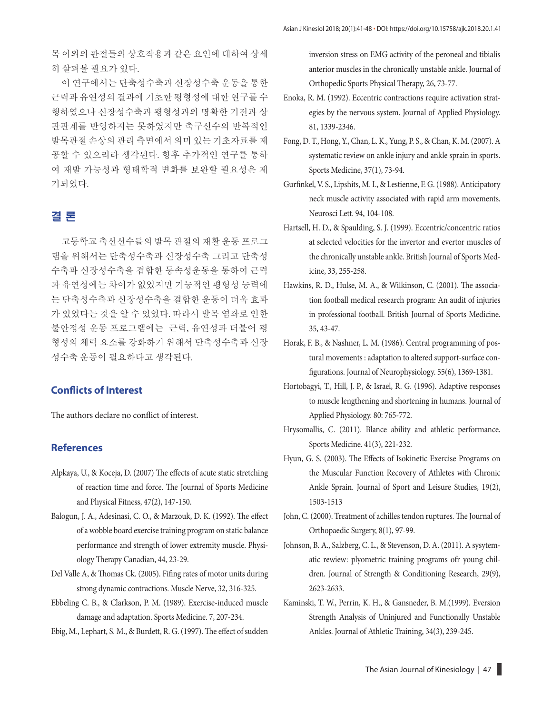목 이외의 관절들의 상호작용과 같은 요인에 대하여 상세 히 살펴볼 필요가 있다.

이 연구에서는 단축성수축과 신장성수축 운동을 통한 근력과 유연성의 결과에 기초한 평형성에 대한 연구를 수 행하였으나 신장성수축과 평형성과의 명확한 기전과 상 관관계를 반영하지는 못하였지만 축구선수의 반복적인 발목관절 손상의 관리 측면에서 의미 있는 기초자료를 제 공할 수 있으리라 생각된다. 향후 추가적인 연구를 통하 여 재발 가능성과 형태학적 변화를 보완할 필요성은 제 기되었다.

# 결 론

고등학교 축선선수들의 발목 관절의 재활 운동 프로그 램을 위해서는 단축성수축과 신장성수축 그리고 단축성 수축과 신장성수축을 겹합한 등속성운동을 통하여 근력 과 유연성에는 차이가 없었지만 기능적인 평형성 능력에 는 단축성수축과 신장성수축을 결합한 운동이 더욱 효과 가 있었다는 것을 알 수 있었다. 따라서 발목 염좌로 인한 불안정성 운동 프로그램에는 근력, 유연성과 더불어 평 형성의 체력 요소를 강화하기 위해서 단축성수축과 신장 성수축 운동이 필요하다고 생각된다.

## **Conflicts of Interest**

The authors declare no conflict of interest.

#### **References**

- Alpkaya, U., & Koceja, D. (2007) The effects of acute static stretching of reaction time and force. The Journal of Sports Medicine and Physical Fitness, 47(2), 147-150.
- Balogun, J. A., Adesinasi, C. O., & Marzouk, D. K. (1992). The effect of a wobble board exercise training program on static balance performance and strength of lower extremity muscle. Physiology Therapy Canadian, 44, 23-29.
- Del Valle A, & Thomas Ck. (2005). Fifing rates of motor units during strong dynamic contractions. Muscle Nerve, 32, 316-325.
- Ebbeling C. B., & Clarkson, P. M. (1989). Exercise-induced muscle damage and adaptation. Sports Medicine. 7, 207-234.
- Ebig, M., Lephart, S. M., & Burdett, R. G. (1997). The effect of sudden

inversion stress on EMG activity of the peroneal and tibialis anterior muscles in the chronically unstable ankle. Journal of Orthopedic Sports Physical Therapy, 26, 73-77.

- Enoka, R. M. (1992). Eccentric contractions require activation strategies by the nervous system. Journal of Applied Physiology. 81, 1339-2346.
- Fong, D. T., Hong, Y., Chan, L. K., Yung, P. S., & Chan, K. M. (2007). A systematic review on ankle injury and ankle sprain in sports. Sports Medicine, 37(1), 73-94.
- Gurfinkel, V. S., Lipshits, M. I., & Lestienne, F. G. (1988). Anticipatory neck muscle activity associated with rapid arm movements. Neurosci Lett. 94, 104-108.
- Hartsell, H. D., & Spaulding, S. J. (1999). Eccentric/concentric ratios at selected velocities for the invertor and evertor muscles of the chronically unstable ankle. British Journal of Sports Medicine, 33, 255-258.
- Hawkins, R. D., Hulse, M. A., & Wilkinson, C. (2001). The association football medical research program: An audit of injuries in professional football. British Journal of Sports Medicine. 35, 43-47.
- Horak, F. B., & Nashner, L. M. (1986). Central programming of postural movements : adaptation to altered support-surface con figurations. Journal of Neurophysiology. 55(6), 1369-1381.
- Hortobagyi, T., Hill, J. P., & Israel, R. G. (1996). Adaptive responses to muscle lengthening and shortening in humans. Journal of Applied Physiology. 80: 765-772.
- Hrysomallis, C. (2011). Blance ability and athletic performance. Sports Medicine. 41(3), 221-232.
- Hyun, G. S. (2003). The Effects of Isokinetic Exercise Programs on the Muscular Function Recovery of Athletes with Chronic Ankle Sprain. Journal of Sport and Leisure Studies, 19(2), 1503-1513
- John, C. (2000). Treatment of achilles tendon ruptures. The Journal of Orthopaedic Surgery, 8(1), 97-99.
- Johnson, B. A., Salzberg, C. L., & Stevenson, D. A. (2011). A sysytematic rewiew: plyometric training programs ofr young children. Journal of Strength & Conditioning Research, 29(9), 2623-2633.
- Kaminski, T. W., Perrin, K. H., & Gansneder, B. M.(1999). Eversion Strength Analysis of Uninjured and Functionally Unstable Ankles. Journal of Athletic Training, 34(3), 239-245.